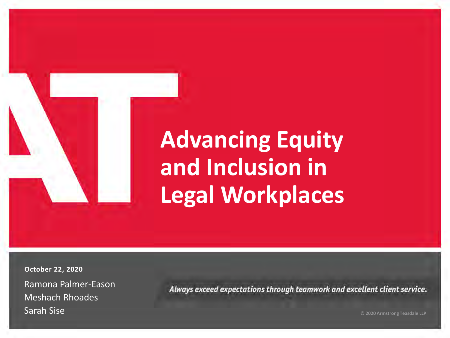## **Advancing Equity and Inclusion in Legal Workplaces**

Ramona Palmer-Eason Meshach Rhoades Sarah Sise **October 22, 2020** 

Always exceed expectations through teamwork and excellent client service.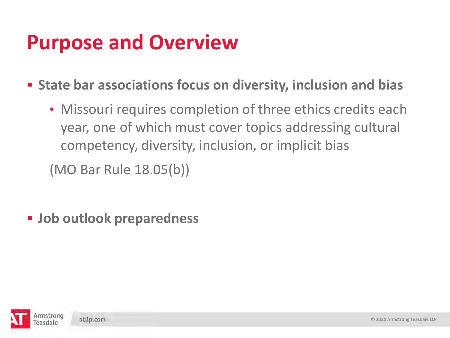#### **Purpose and Overview**

**State bar associations focus on diversity, inclusion and bias** 

• Missouri requires completion of three ethics credits each year, one of which must cover topics addressing cultural competency, diversity, inclusion, or implicit bias

(MO Bar Rule 18.05(b))

**Job outlook preparedness** 

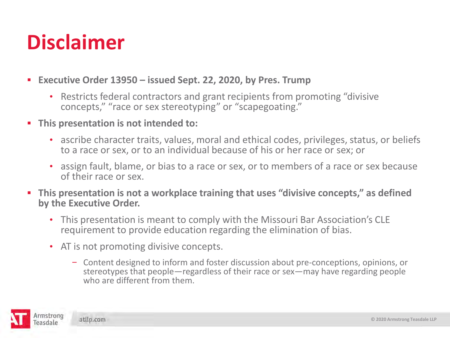#### **Disclaimer**

- **Executive Order 13950 – issued Sept. 22, 2020, by Pres. Trump** 
	- Restricts federal contractors and grant recipients from promoting "divisive concepts," "race or sex stereotyping" or "scapegoating."
- **This presentation is not intended to:** 
	- ascribe character traits, values, moral and ethical codes, privileges, status, or beliefs to a race or sex, or to an individual because of his or her race or sex; or
	- assign fault, blame, or bias to a race or sex, or to members of a race or sex because of their race or sex.
- **This presentation is not a workplace training that uses "divisive concepts," as defined by the Executive Order.** 
	- This presentation is meant to comply with the Missouri Bar Association's CLE requirement to provide education regarding the elimination of bias.
	- AT is not promoting divisive concepts.
		- Content designed to inform and foster discussion about pre-conceptions, opinions, or stereotypes that people—regardless of their race or sex—may have regarding people who are different from them.

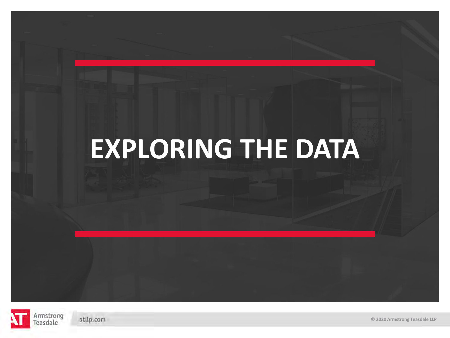# **EXPLORING THE DATA**



atllp.com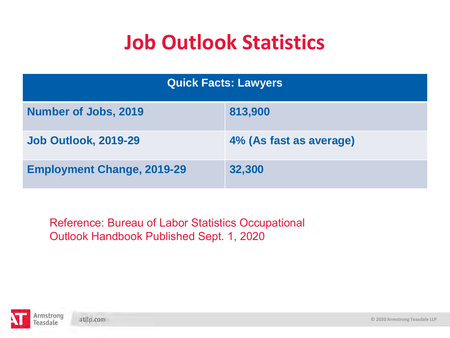#### **Job Outlook Statistics**

| <b>Quick Facts: Lawyers</b>       |                         |
|-----------------------------------|-------------------------|
| <b>Number of Jobs, 2019</b>       | 813,900                 |
| <b>Job Outlook, 2019-29</b>       | 4% (As fast as average) |
| <b>Employment Change, 2019-29</b> | 32,300                  |

Reference: Bureau of Labor Statistics Occupational Outlook Handbook Published Sept. 1, 2020

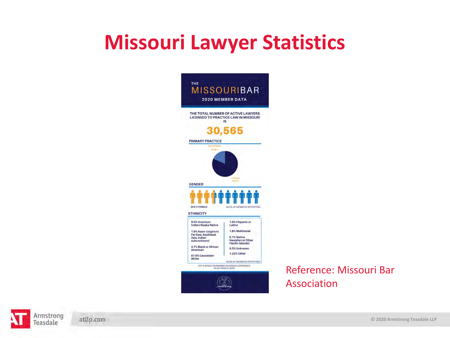#### **Missouri Lawyer Statistics**



Reference: Missouri Bar Association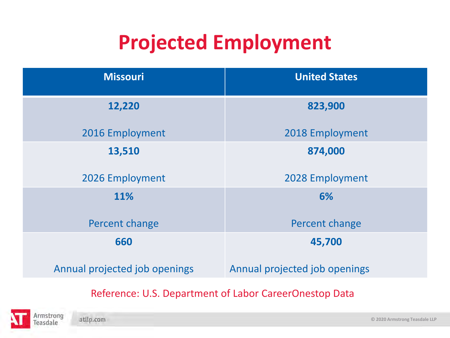### **Projected Employment**

| <b>Missouri</b>               | <b>United States</b>          |
|-------------------------------|-------------------------------|
| 12,220                        | 823,900                       |
| 2016 Employment               | 2018 Employment               |
| 13,510                        | 874,000                       |
| 2026 Employment               | 2028 Employment               |
| 11%                           | 6%                            |
| Percent change                | Percent change                |
| 660                           | 45,700                        |
| Annual projected job openings | Annual projected job openings |

Reference: U.S. Department of Labor CareerOnestop Data

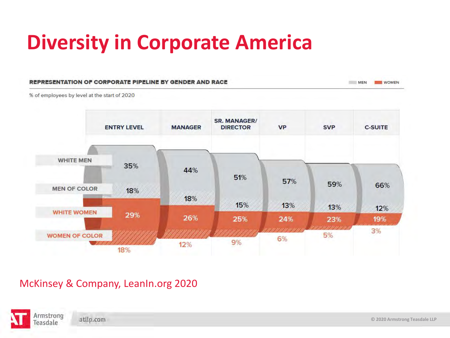#### **Diversity in Corporate America**

#### REPRESENTATION OF CORPORATE PIPELINE BY GENDER AND RACE

MEN **WOMEN** 

% of employees by level at the start of 2020



#### McKinsey & Company, LeanIn.org 2020

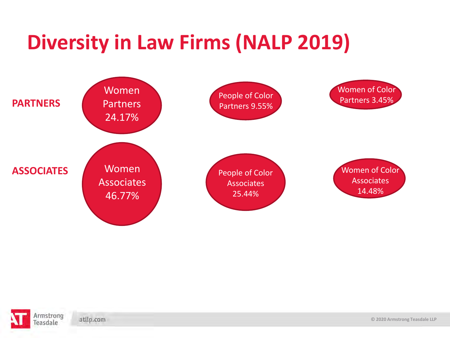### **Diversity in Law Firms (NALP 2019)**

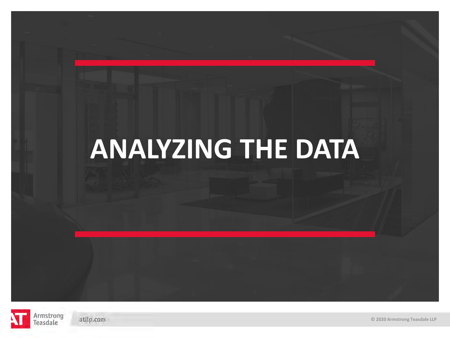# **ANALYZING THE DATA**



atllp.com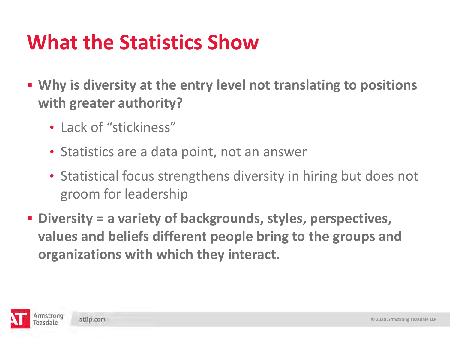#### **What the Statistics Show**

- **Why is diversity at the entry level not translating to positions with greater authority?** 
	- Lack of "stickiness"
	- Statistics are a data point, not an answer
	- Statistical focus strengthens diversity in hiring but does not groom for leadership
- **Diversity = a variety of backgrounds, styles, perspectives, values and beliefs different people bring to the groups and organizations with which they interact.**

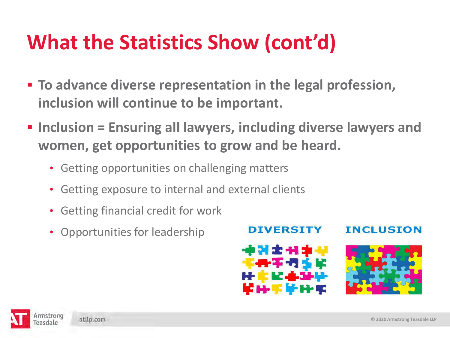### **What the Statistics Show (cont'd)**

- **To advance diverse representation in the legal profession, inclusion will continue to be important.**
- **Inclusion = Ensuring all lawyers, including diverse lawyers and women, get opportunities to grow and be heard.** 
	- Getting opportunities on challenging matters
	- Getting exposure to internal and external clients
	- Getting financial credit for work
	- Opportunities for leadership



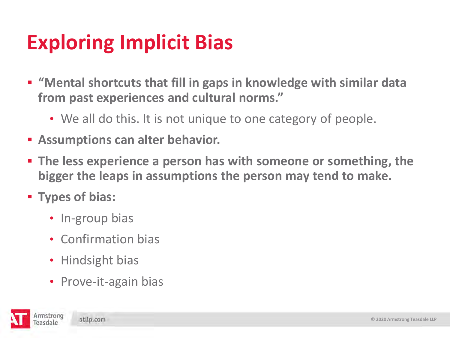### **Exploring Implicit Bias**

- **"Mental shortcuts that fill in gaps in knowledge with similar data from past experiences and cultural norms."**
	- We all do this. It is not unique to one category of people.
- **Assumptions can alter behavior.**
- **The less experience a person has with someone or something, the bigger the leaps in assumptions the person may tend to make.**
- **Types of bias:** 
	- In-group bias
	- Confirmation bias
	- Hindsight bias
	- Prove-it-again bias

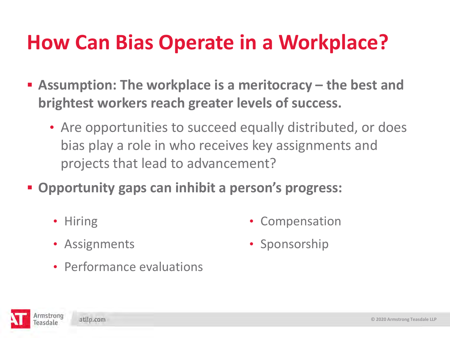#### **How Can Bias Operate in a Workplace?**

- **Assumption: The workplace is a meritocracy – the best and brightest workers reach greater levels of success.** 
	- Are opportunities to succeed equally distributed, or does bias play a role in who receives key assignments and projects that lead to advancement?
- **Opportunity gaps can inhibit a person's progress:** 
	- Hiring

• Compensation

• Assignments

• Sponsorship

• Performance evaluations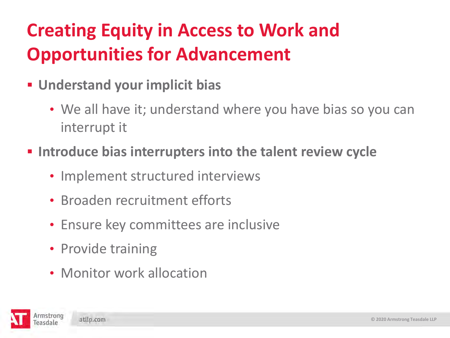#### **Creating Equity in Access to Work and Opportunities for Advancement**

- **Understand your implicit bias** 
	- We all have it; understand where you have bias so you can interrupt it
- **F** Introduce bias interrupters into the talent review cycle
	- Implement structured interviews
	- Broaden recruitment efforts
	- Ensure key committees are inclusive
	- Provide training
	- Monitor work allocation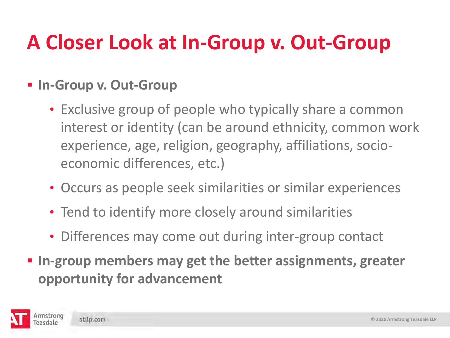#### **A Closer Look at In-Group v. Out-Group**

#### **In-Group v. Out-Group**

- Exclusive group of people who typically share a common interest or identity (can be around ethnicity, common work experience, age, religion, geography, affiliations, socioeconomic differences, etc.)
- Occurs as people seek similarities or similar experiences
- Tend to identify more closely around similarities
- Differences may come out during inter-group contact
- **In-group members may get the better assignments, greater opportunity for advancement**

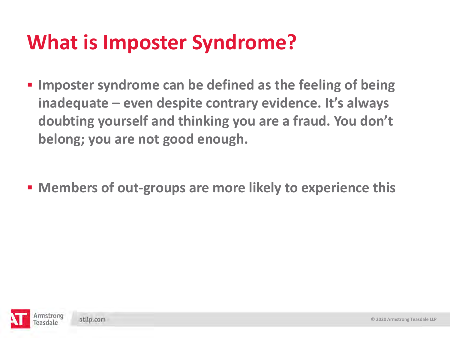#### **What is Imposter Syndrome?**

**IMPOSTER SYNDROME CAN be defined as the feeling of being inadequate – even despite contrary evidence. It's always doubting yourself and thinking you are a fraud. You don't belong; you are not good enough.** 

**Members of out-groups are more likely to experience this** 

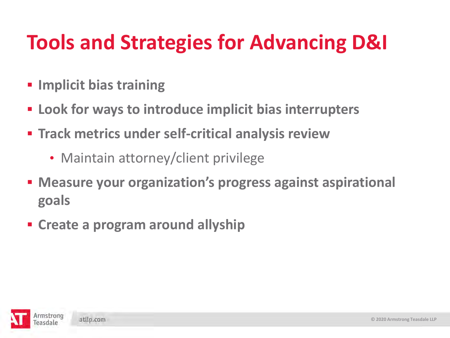### **Tools and Strategies for Advancing D&I**

- **Implicit bias training**
- **Look for ways to introduce implicit bias interrupters**
- **Track metrics under self-critical analysis review** 
	- Maintain attorney/client privilege
- **Measure your organization's progress against aspirational goals**
- **Create a program around allyship**

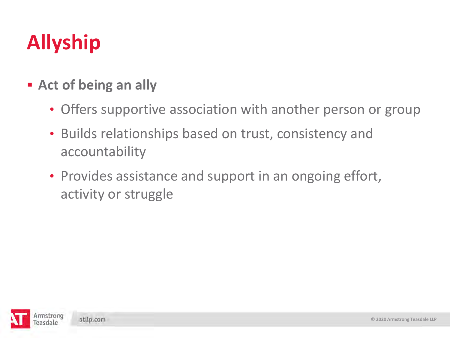## **Allyship**

- **Act of being an ally** 
	- Offers supportive association with another person or group
	- Builds relationships based on trust, consistency and accountability
	- Provides assistance and support in an ongoing effort, activity or struggle

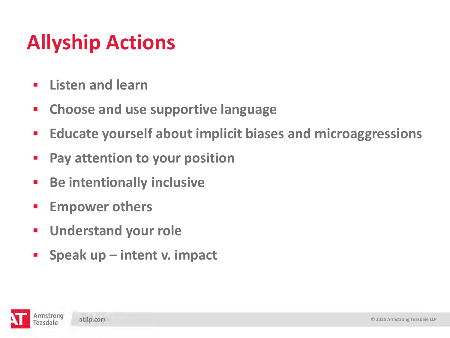### **Allyship Actions**

- **Listen and learn**
- **Choose and use supportive language**
- **Educate yourself about implicit biases and microaggressions**
- **Pay attention to your position**
- **Be intentionally inclusive**
- **Empower others**

atllp.com

- **Understand your role**
- **Speak up – intent v. impact**

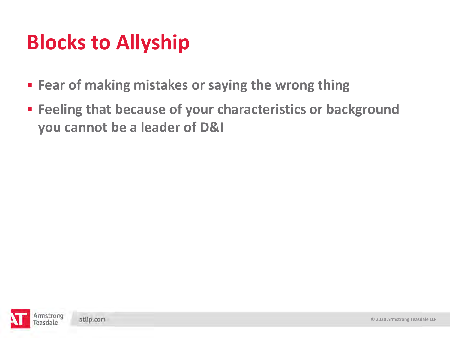#### **Blocks to Allyship**

- **Fear of making mistakes or saying the wrong thing**
- **Feeling that because of your characteristics or background you cannot be a leader of D&I**

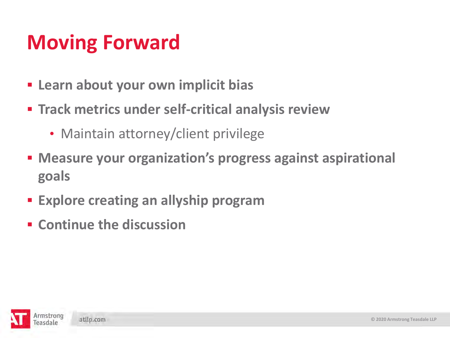#### **Moving Forward**

- **Learn about your own implicit bias**
- **Track metrics under self-critical analysis review** 
	- Maintain attorney/client privilege
- **Measure your organization's progress against aspirational goals**
- **Explore creating an allyship program**
- **Continue the discussion**

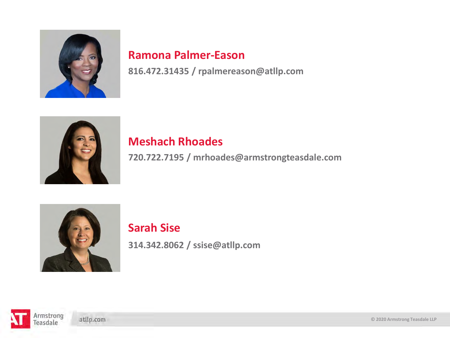

#### **Ramona Palmer-Eason**

**816.472.31435 / rpalmereason@atllp.com** 



#### **Meshach Rhoades**

**720.722.7195 / mrhoades@armstrongteasdale.com** 



#### **Sarah Sise**

**314.342.8062 / ssise@atllp.com**